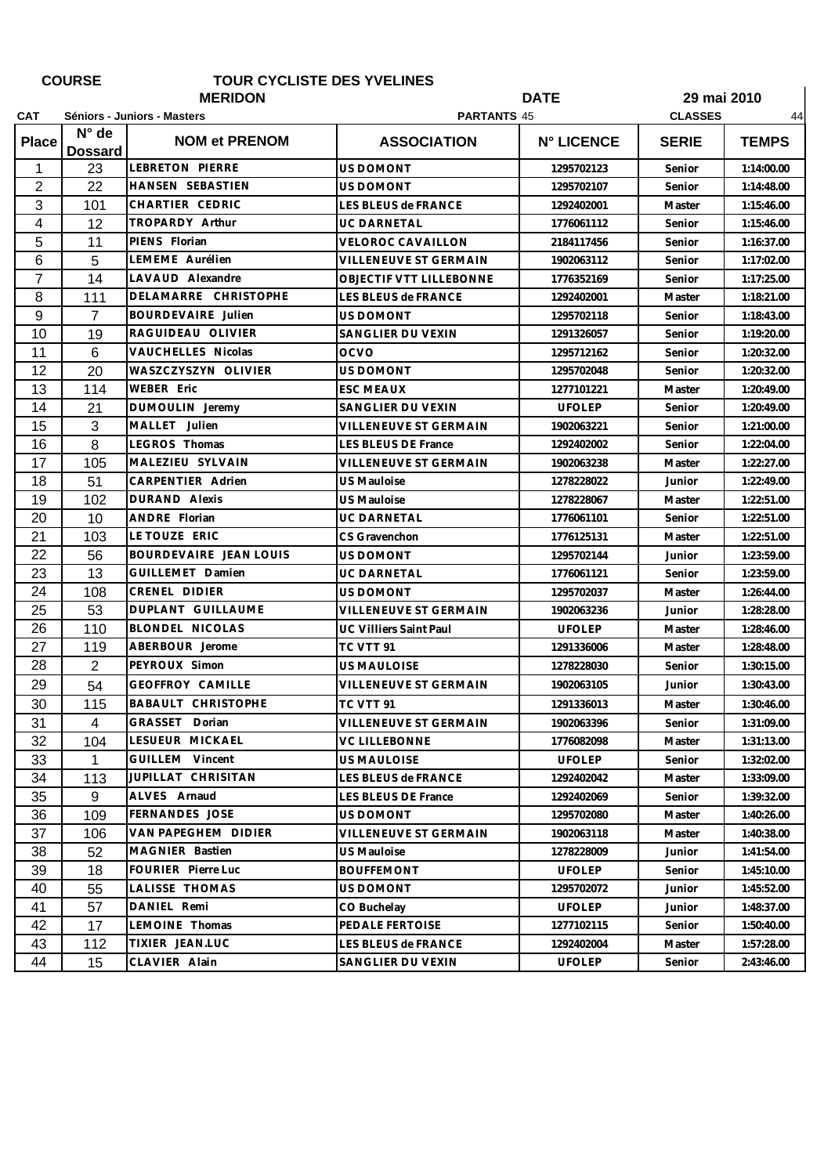| <b>CAT</b>              |                      | <b>MERIDON</b><br>Séniors - Juniors - Masters |                                | <b>DATE</b><br><b>PARTANTS 45</b> |              | 29 mai 2010<br><b>CLASSES</b><br>44 |  |
|-------------------------|----------------------|-----------------------------------------------|--------------------------------|-----------------------------------|--------------|-------------------------------------|--|
| <b>Place</b>            | $N^{\circ}$ de       | <b>NOM et PRENOM</b>                          | <b>ASSOCIATION</b>             | <b>N° LICENCE</b>                 | <b>SERIE</b> | <b>TEMPS</b>                        |  |
| 1                       | <b>Dossard</b><br>23 | LEBRETON PIERRE                               | <b>US DOMONT</b>               | 1295702123                        | Senior       | 1:14:00.00                          |  |
| $\overline{2}$          | 22                   | HANSEN SEBASTIEN                              | US DOMONT                      | 1295702107                        | Senior       | 1:14:48.00                          |  |
| 3                       | 101                  | CHARTIER CEDRIC                               | LES BLEUS de FRANCE            | 1292402001                        | Master       | 1:15:46.00                          |  |
| $\overline{\mathbf{4}}$ | 12                   | TROPARDY Arthur                               | <b>UC DARNETAL</b>             | 1776061112                        | Senior       | 1:15:46.00                          |  |
| 5                       | 11                   | PIENS Florian                                 | <b>VELOROC CAVAILLON</b>       | 2184117456                        | Senior       | 1:16:37.00                          |  |
| 6                       | 5                    | LEMEME Aurélien                               | VILLENEUVE ST GERMAIN          | 1902063112                        | Senior       | 1:17:02.00                          |  |
| $\overline{7}$          | 14                   | LAVAUD Alexandre                              | <b>OBJECTIF VTT LILLEBONNE</b> | 1776352169                        | Senior       | 1:17:25.00                          |  |
| 8                       | 111                  | DELAMARRE CHRISTOPHE                          | LES BLEUS de FRANCE            | 1292402001                        | Master       | 1:18:21.00                          |  |
| 9                       | $\overline{7}$       | BOURDEVAIRE Julien                            | <b>US DOMONT</b>               | 1295702118                        | Senior       | 1:18:43.00                          |  |
| 10                      | 19                   | RAGUIDEAU OLIVIER                             | SANGLIER DU VEXIN              | 1291326057                        | Senior       | 1:19:20.00                          |  |
| 11                      | 6                    | VAUCHELLES Nicolas                            | <b>OCVO</b>                    | 1295712162                        | Senior       | 1:20:32.00                          |  |
| 12                      | 20                   | WASZCZYSZYN OLIVIER                           | US DOMONT                      | 1295702048                        | Senior       | 1:20:32.00                          |  |
| 13                      | 114                  | <b>WEBER Eric</b>                             | <b>ESC MEAUX</b>               | 1277101221                        | Master       | 1:20:49.00                          |  |
| 14                      | 21                   | DUMOULIN Jeremy                               | SANGLIER DU VEXIN              | <b>UFOLEP</b>                     | Senior       | 1:20:49.00                          |  |
| 15                      | 3                    | MALLET Julien                                 | <b>VILLENEUVE ST GERMAIN</b>   | 1902063221                        | Senior       | 1:21:00.00                          |  |
| 16                      | 8                    | LEGROS Thomas                                 | <b>LES BLEUS DE France</b>     | 1292402002                        | Senior       | 1:22:04.00                          |  |
| 17                      | 105                  | MALEZIEU SYLVAIN                              | VILLENEUVE ST GERMAIN          | 1902063238                        | Master       | 1:22:27.00                          |  |
| 18                      | 51                   | CARPENTIER Adrien                             | <b>US Mauloise</b>             | 1278228022                        | Junior       | 1:22:49.00                          |  |
| 19                      | 102                  | <b>DURAND Alexis</b>                          | <b>US Mauloise</b>             | 1278228067                        | Master       | 1:22:51.00                          |  |
| 20                      | 10                   | ANDRE Florian                                 | <b>UC DARNETAL</b>             | 1776061101                        | Senior       | 1:22:51.00                          |  |
| 21                      | 103                  | LE TOUZE ERIC                                 | CS Gravenchon                  | 1776125131                        | Master       | 1:22:51.00                          |  |
| 22                      | 56                   | BOURDEVAIRE JEAN LOUIS                        | US DOMONT                      | 1295702144                        | Junior       | 1:23:59.00                          |  |
| 23                      | 13                   | GUILLEMET Damien                              | <b>UC DARNETAL</b>             | 1776061121                        | Senior       | 1:23:59.00                          |  |
| 24                      | 108                  | <b>CRENEL DIDIER</b>                          | <b>US DOMONT</b>               | 1295702037                        | Master       | 1:26:44.00                          |  |
| 25                      | 53                   | DUPLANT GUILLAUME                             | <b>VILLENEUVE ST GERMAIN</b>   | 1902063236                        | Junior       | 1:28:28.00                          |  |
| 26                      | 110                  | <b>BLONDEL NICOLAS</b>                        | <b>UC Villiers Saint Paul</b>  | <b>UFOLEP</b>                     | Master       | 1:28:46.00                          |  |
| 27                      | 119                  | ABERBOUR Jerome                               | TC VTT 91                      | 1291336006                        | Master       | 1:28:48.00                          |  |
| 28                      | 2                    | PEYROUX Simon                                 | <b>US MAULOISE</b>             | 1278228030                        | Senior       | 1:30:15.00                          |  |
| 29                      | 54                   | GEOFFROY CAMILLE                              | VILLENEUVE ST GERMAIN          | 1902063105                        | Junior       | 1:30:43.00                          |  |
| 30                      | 115                  | <b>BABAULT CHRISTOPHE</b>                     | TC VTT 91                      | 1291336013                        | Master       | 1:30:46.00                          |  |
| 31                      | 4                    | GRASSET Dorian                                | VILLENEUVE ST GERMAIN          | 1902063396                        | Senior       | 1:31:09.00                          |  |
| 32                      | 104                  | LESUEUR MICKAEL                               | VC LILLEBONNE                  | 1776082098                        | Master       | 1:31:13.00                          |  |
| 33                      | 1                    | GUILLEM Vincent                               | US MAULOISE                    | <b>UFOLEP</b>                     | Senior       | 1:32:02.00                          |  |
| 34                      | 113                  | JUPILLAT CHRISITAN                            | LES BLEUS de FRANCE            | 1292402042                        | Master       | 1:33:09.00                          |  |
| 35                      | 9                    | ALVES Arnaud                                  | <b>LES BLEUS DE France</b>     | 1292402069                        | Senior       | 1:39:32.00                          |  |
| 36                      | 109                  | FERNANDES JOSE                                | US DOMONT                      | 1295702080                        | Master       | 1:40:26.00                          |  |
| 37                      | 106                  | VAN PAPEGHEM DIDIER                           | VILLENEUVE ST GERMAIN          | 1902063118                        | Master       | 1:40:38.00                          |  |
| 38                      | 52                   | MAGNIER Bastien                               | US Mauloise                    | 1278228009                        | Junior       | 1:41:54.00                          |  |
| 39                      | 18                   | FOURIER Pierre Luc                            | <b>BOUFFEMONT</b>              | <b>UFOLEP</b>                     | Senior       | 1:45:10.00                          |  |
| 40                      | 55                   | LALISSE THOMAS                                | US DOMONT                      | 1295702072                        | Junior       | 1:45:52.00                          |  |
| 41                      | 57                   | DANIEL Remi                                   | CO Buchelay                    | <b>UFOLEP</b>                     | Junior       | 1:48:37.00                          |  |
| 42                      | 17                   | LEMOINE Thomas                                | PEDALE FERTOISE                | 1277102115                        | Senior       | 1:50:40.00                          |  |
| 43                      | 112                  | TIXIER JEAN.LUC                               | LES BLEUS de FRANCE            | 1292402004                        | Master       | 1:57:28.00                          |  |
| 44                      | 15                   | CLAVIER Alain                                 | SANGLIER DU VEXIN              | <b>UFOLEP</b>                     | Senior       | 2:43:46.00                          |  |

**TOUR CYCLISTE DES YVELINES**

**COURSE**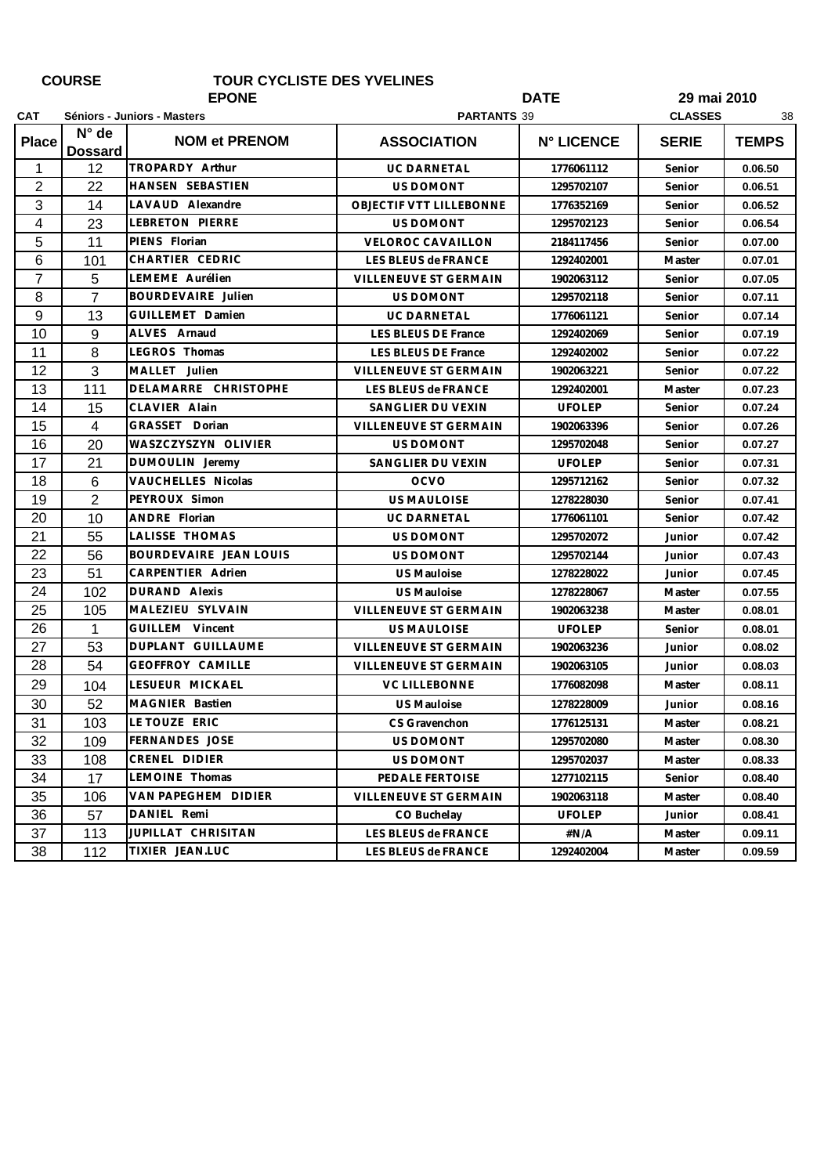| <b>COURSE</b>  |                                  | <b>TOUR CYCLISTE DES YVELINES</b> |                              |                   |                |              |  |
|----------------|----------------------------------|-----------------------------------|------------------------------|-------------------|----------------|--------------|--|
|                |                                  | <b>EPONE</b><br><b>DATE</b>       |                              |                   |                | 29 mai 2010  |  |
| <b>CAT</b>     |                                  | Séniors - Juniors - Masters       | <b>PARTANTS 39</b>           |                   | <b>CLASSES</b> | 38           |  |
| <b>Place</b>   | $N^{\circ}$ de<br><b>Dossard</b> | <b>NOM et PRENOM</b>              | <b>ASSOCIATION</b>           | <b>N° LICENCE</b> | <b>SERIE</b>   | <b>TEMPS</b> |  |
| 1              | 12                               | TROPARDY Arthur                   | <b>UC DARNETAL</b>           | 1776061112        | Senior         | 0.06.50      |  |
| $\overline{2}$ | 22                               | HANSEN SEBASTIEN                  | US DOMONT                    | 1295702107        | Senior         | 0.06.51      |  |
| 3              | 14                               | LAVAUD Alexandre                  | OBJECTIF VTT LILLEBONNE      | 1776352169        | Senior         | 0.06.52      |  |
| 4              | 23                               | LEBRETON PIERRE                   | US DOMONT                    | 1295702123        | Senior         | 0.06.54      |  |
| 5              | 11                               | PIENS Florian                     | <b>VELOROC CAVAILLON</b>     | 2184117456        | Senior         | 0.07.00      |  |
| $6\,$          | 101                              | CHARTIER CEDRIC                   | LES BLEUS de FRANCE          | 1292402001        | Master         | 0.07.01      |  |
| $\overline{7}$ | 5                                | LEMEME Aurélien                   | VILLENEUVE ST GERMAIN        | 1902063112        | Senior         | 0.07.05      |  |
| 8              | $\overline{7}$                   | <b>BOURDEVAIRE</b> Julien         | US DOMONT                    | 1295702118        | Senior         | 0.07.11      |  |
| 9              | 13                               | GUILLEMET Damien                  | <b>UC DARNETAL</b>           | 1776061121        | Senior         | 0.07.14      |  |
| 10             | 9                                | ALVES Arnaud                      | <b>LES BLEUS DE France</b>   | 1292402069        | Senior         | 0.07.19      |  |
| 11             | 8                                | LEGROS Thomas                     | LES BLEUS DE France          | 1292402002        | Senior         | 0.07.22      |  |
| 12             | 3                                | MALLET Julien                     | VILLENEUVE ST GERMAIN        | 1902063221        | Senior         | 0.07.22      |  |
| 13             | 111                              | DELAMARRE CHRISTOPHE              | LES BLEUS de FRANCE          | 1292402001        | Master         | 0.07.23      |  |
| 14             | 15                               | CLAVIER Alain                     | SANGLIER DU VEXIN            | <b>UFOLEP</b>     | Senior         | 0.07.24      |  |
| 15             | 4                                | GRASSET Dorian                    | <b>VILLENEUVE ST GERMAIN</b> | 1902063396        | Senior         | 0.07.26      |  |
| 16             | 20                               | WASZCZYSZYN OLIVIER               | US DOMONT                    | 1295702048        | Senior         | 0.07.27      |  |
| 17             | 21                               | DUMOULIN Jeremy                   | SANGLIER DU VEXIN            | <b>UFOLEP</b>     | Senior         | 0.07.31      |  |
| 18             | 6                                | VAUCHELLES Nicolas                | <b>OCVO</b>                  | 1295712162        | Senior         | 0.07.32      |  |
| 19             | $\overline{2}$                   | PEYROUX Simon                     | <b>US MAULOISE</b>           | 1278228030        | Senior         | 0.07.41      |  |
| 20             | 10                               | ANDRE Florian                     | <b>UC DARNETAL</b>           | 1776061101        | Senior         | 0.07.42      |  |
| 21             | 55                               | LALISSE THOMAS                    | US DOMONT                    | 1295702072        | Junior         | 0.07.42      |  |
| 22             | 56                               | BOURDEVAIRE JEAN LOUIS            | US DOMONT                    | 1295702144        | Junior         | 0.07.43      |  |
| 23             | 51                               | CARPENTIER Adrien                 | <b>US Mauloise</b>           | 1278228022        | Junior         | 0.07.45      |  |
| 24             | 102                              | <b>DURAND Alexis</b>              | US Mauloise                  | 1278228067        | Master         | 0.07.55      |  |
| 25             | 105                              | MALEZIEU SYLVAIN                  | <b>VILLENEUVE ST GERMAIN</b> | 1902063238        | Master         | 0.08.01      |  |
| 26             | 1                                | <b>GUILLEM</b> Vincent            | <b>US MAULOISE</b>           | <b>UFOLEP</b>     | Senior         | 0.08.01      |  |
| 27             | 53                               | DUPLANT GUILLAUME                 | VILLENEUVE ST GERMAIN        | 1902063236        | Junior         | 0.08.02      |  |
| 28             | 54                               | <b>GEOFFROY CAMILLE</b>           | <b>VILLENEUVE ST GERMAIN</b> | 1902063105        | Junior         | 0.08.03      |  |
| 29             | 104                              | LESUEUR MICKAEL                   | <b>VC LILLEBONNE</b>         | 1776082098        | Master         | 0.08.11      |  |
| 30             | 52                               | MAGNIER Bastien                   | <b>US Mauloise</b>           | 1278228009        | Junior         | 0.08.16      |  |
| 31             | 103                              | LE TOUZE ERIC                     | CS Gravenchon                | 1776125131        | Master         | 0.08.21      |  |
| 32             | 109                              | FERNANDES JOSE                    | US DOMONT                    | 1295702080        | Master         | 0.08.30      |  |
| 33             | 108                              | CRENEL DIDIER                     | US DOMONT                    | 1295702037        | Master         | 0.08.33      |  |
| 34             | 17                               | LEMOINE Thomas                    | PEDALE FERTOISE              | 1277102115        | Senior         | 0.08.40      |  |
| 35             | 106                              | VAN PAPEGHEM DIDIER               | VILLENEUVE ST GERMAIN        | 1902063118        | Master         | 0.08.40      |  |
| 36             | 57                               | DANIEL Remi                       | CO Buchelay                  | <b>UFOLEP</b>     | Junior         | 0.08.41      |  |
| 37             | 113                              | JUPILLAT CHRISITAN                | LES BLEUS de FRANCE          | #N/A              | Master         | 0.09.11      |  |
| 38             | 112                              | TIXIER JEAN.LUC                   | LES BLEUS de FRANCE          | 1292402004        | Master         | 0.09.59      |  |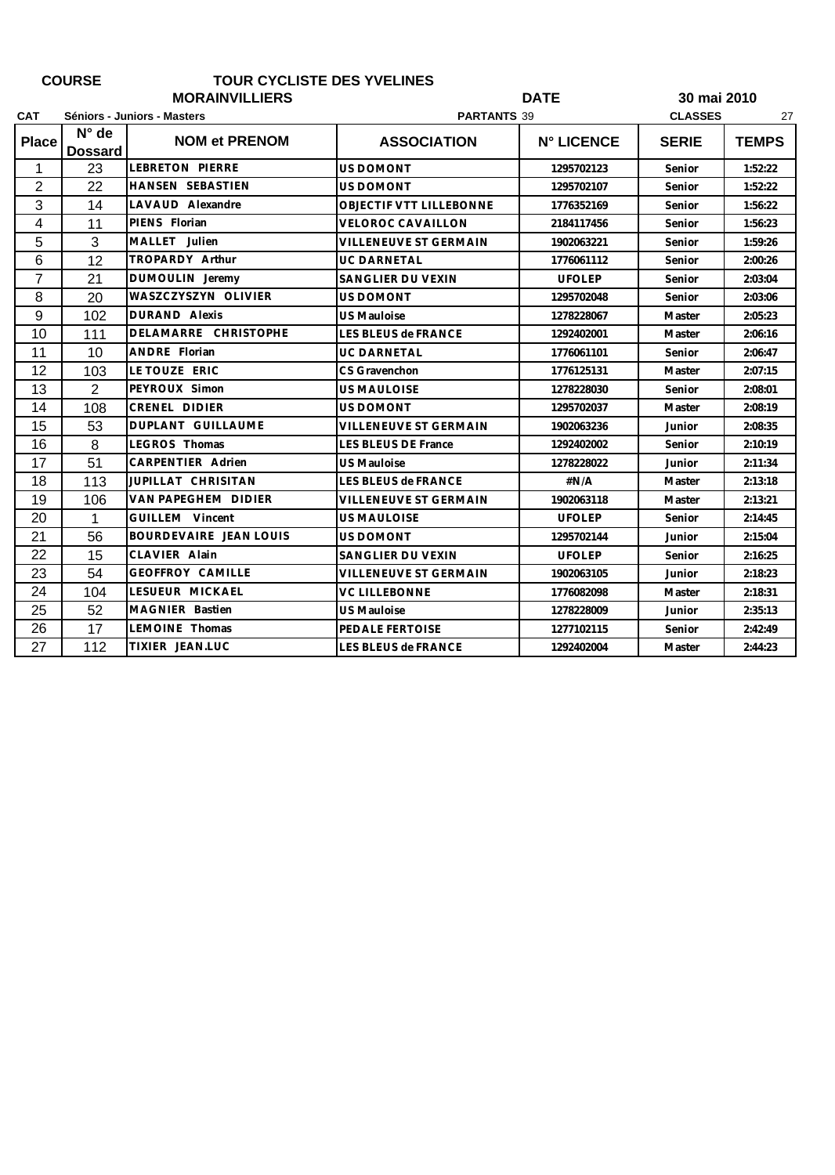| <b>COURSE</b>  |                                  |                                      | <b>TOUR CYCLISTE DES YVELINES</b> |                   |                      |              |
|----------------|----------------------------------|--------------------------------------|-----------------------------------|-------------------|----------------------|--------------|
|                |                                  | <b>MORAINVILLIERS</b><br><b>DATE</b> |                                   |                   | 30 mai 2010          |              |
| <b>CAT</b>     |                                  | Séniors - Juniors - Masters          | <b>PARTANTS 39</b>                |                   | 27<br><b>CLASSES</b> |              |
| <b>Place</b>   | $N^{\circ}$ de<br><b>Dossard</b> | <b>NOM et PRENOM</b>                 | <b>ASSOCIATION</b>                | <b>N° LICENCE</b> | <b>SERIE</b>         | <b>TEMPS</b> |
| 1              | 23                               | <b>LEBRETON PIERRE</b>               | <b>US DOMONT</b>                  | 1295702123        | Senior               | 1:52:22      |
| $\overline{2}$ | 22                               | HANSEN SEBASTIEN                     | US DOMONT                         | 1295702107        | Senior               | 1:52:22      |
| 3              | 14                               | LAVAUD Alexandre                     | OBJECTIF VTT LILLEBONNE           | 1776352169        | Senior               | 1:56:22      |
| 4              | 11                               | PIENS Florian                        | <b>VELOROC CAVAILLON</b>          | 2184117456        | Senior               | 1:56:23      |
| 5              | 3                                | MALLET Julien                        | <b>VILLENEUVE ST GERMAIN</b>      | 1902063221        | Senior               | 1:59:26      |
| 6              | 12                               | TROPARDY Arthur                      | <b>UC DARNETAL</b>                | 1776061112        | Senior               | 2:00:26      |
| $\overline{7}$ | 21                               | DUMOULIN Jeremy                      | SANGLIER DU VEXIN                 | <b>UFOLEP</b>     | Senior               | 2:03:04      |
| 8              | 20                               | WASZCZYSZYN OLIVIER                  | <b>US DOMONT</b>                  | 1295702048        | Senior               | 2:03:06      |
| 9              | 102                              | <b>DURAND Alexis</b>                 | <b>US Mauloise</b>                | 1278228067        | Master               | 2:05:23      |
| 10             | 111                              | DELAMARRE CHRISTOPHE                 | LES BLEUS de FRANCE               | 1292402001        | Master               | 2:06:16      |
| 11             | 10                               | <b>ANDRE Florian</b>                 | <b>UC DARNETAL</b>                | 1776061101        | Senior               | 2:06:47      |
| 12             | 103                              | LE TOUZE ERIC                        | CS Gravenchon                     | 1776125131        | Master               | 2:07:15      |
| 13             | $\overline{2}$                   | PEYROUX Simon                        | <b>US MAULOISE</b>                | 1278228030        | Senior               | 2:08:01      |
| 14             | 108                              | CRENEL DIDIER                        | <b>US DOMONT</b>                  | 1295702037        | Master               | 2:08:19      |
| 15             | 53                               | <b>DUPLANT GUILLAUME</b>             | <b>VILLENEUVE ST GERMAIN</b>      | 1902063236        | Junior               | 2:08:35      |
| 16             | 8                                | LEGROS Thomas                        | <b>LES BLEUS DE France</b>        | 1292402002        | Senior               | 2:10:19      |
| 17             | 51                               | <b>CARPENTIER Adrien</b>             | <b>US Mauloise</b>                | 1278228022        | Junior               | 2:11:34      |
| 18             | 113                              | JUPILLAT CHRISITAN                   | LES BLEUS de FRANCE               | #N/A              | Master               | 2:13:18      |
| 19             | 106                              | VAN PAPEGHEM DIDIER                  | <b>VILLENEUVE ST GERMAIN</b>      | 1902063118        | Master               | 2:13:21      |
| 20             | 1                                | <b>GUILLEM</b> Vincent               | <b>US MAULOISE</b>                | <b>UFOLEP</b>     | Senior               | 2:14:45      |
| 21             | 56                               | BOURDEVAIRE JEAN LOUIS               | <b>US DOMONT</b>                  | 1295702144        | Junior               | 2:15:04      |
| 22             | 15                               | CLAVIER Alain                        | <b>SANGLIER DU VEXIN</b>          | <b>UFOLEP</b>     | Senior               | 2:16:25      |
| 23             | 54                               | <b>GEOFFROY CAMILLE</b>              | <b>VILLENEUVE ST GERMAIN</b>      | 1902063105        | Junior               | 2:18:23      |
| 24             | 104                              | LESUEUR MICKAEL                      | VC LILLEBONNE                     | 1776082098        | Master               | 2:18:31      |
| 25             | 52                               | MAGNIER Bastien                      | <b>US Mauloise</b>                | 1278228009        | Junior               | 2:35:13      |
| 26             | 17                               | LEMOINE Thomas                       | PEDALE FERTOISE                   | 1277102115        | Senior               | 2:42:49      |

27 112 **LES BLEUS de FRANCE 1292402004 Master 2:44:23 TIXIER JEAN.LUC**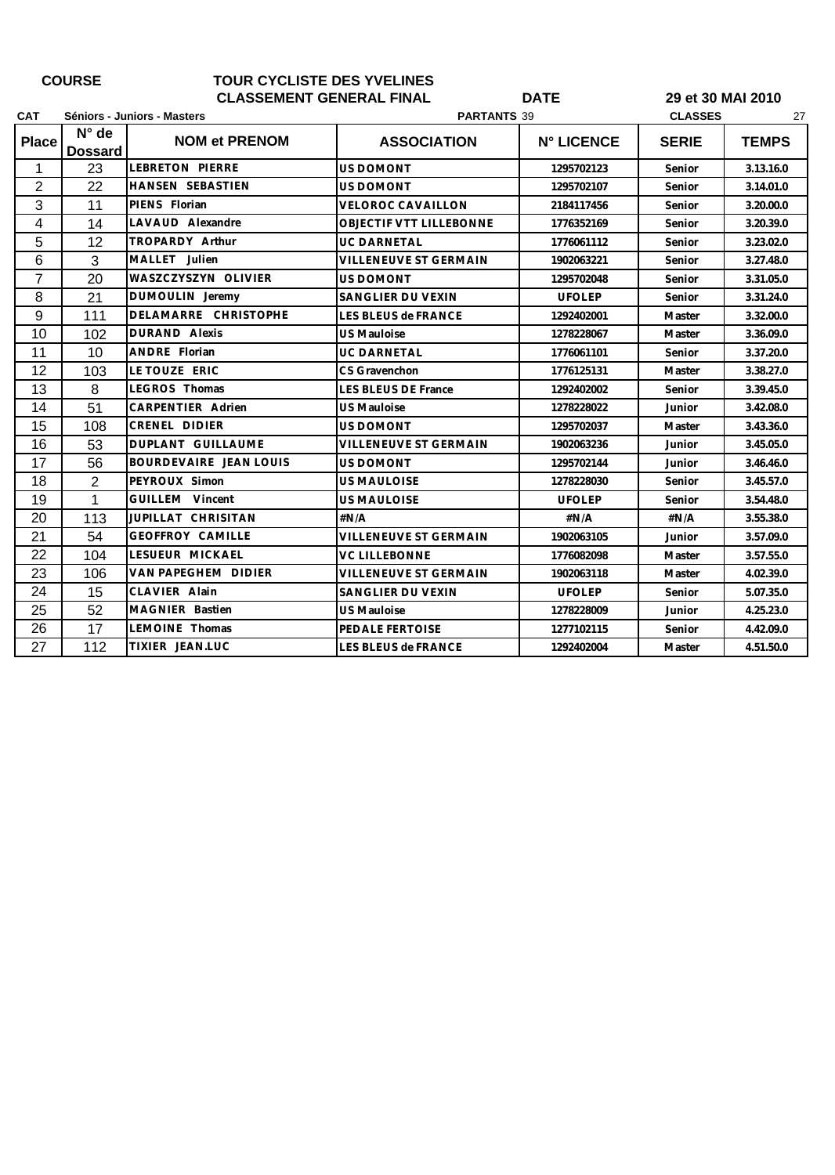| <b>COURSE</b> | <b>TOUR CYCLI</b> |
|---------------|-------------------|
|               | <b>CLASSEMEN</b>  |

|                |                             |                          | <b>CLASSEMENT GENERAL FINAL</b><br><b>DATE</b> |                    | 29 et 30 MAI 2010 |                      |
|----------------|-----------------------------|--------------------------|------------------------------------------------|--------------------|-------------------|----------------------|
| <b>CAT</b>     | Séniors - Juniors - Masters |                          |                                                | <b>PARTANTS 39</b> |                   | <b>CLASSES</b><br>27 |
| <b>Place</b>   | $N^{\circ}$ de              | <b>NOM et PRENOM</b>     | <b>ASSOCIATION</b>                             | <b>N° LICENCE</b>  | <b>SERIE</b>      | <b>TEMPS</b>         |
|                | <b>Dossard</b>              |                          |                                                |                    |                   |                      |
| 1              | 23                          | <b>LEBRETON PIERRE</b>   | <b>US DOMONT</b>                               | 1295702123         | Senior            | 3.13.16.0            |
| $\overline{2}$ | 22                          | HANSEN SEBASTIEN         | US DOMONT                                      | 1295702107         | Senior            | 3.14.01.0            |
| 3              | 11                          | PIENS Florian            | <b>VELOROC CAVAILLON</b>                       | 2184117456         | Senior            | 3.20.00.0            |
| 4              | 14                          | LAVAUD Alexandre         | OBJECTIF VTT LILLEBONNE                        | 1776352169         | Senior            | 3.20.39.0            |
| 5              | 12                          | TROPARDY Arthur          | UC DARNETAL                                    | 1776061112         | Senior            | 3.23.02.0            |
| 6              | 3                           | MALLET Julien            | <b>VILLENEUVE ST GERMAIN</b>                   | 1902063221         | Senior            | 3.27.48.0            |
| $\overline{7}$ | 20                          | WASZCZYSZYN OLIVIER      | US DOMONT                                      | 1295702048         | Senior            | 3.31.05.0            |
| $\, 8$         | 21                          | DUMOULIN Jeremy          | SANGLIER DU VEXIN                              | <b>UFOLEP</b>      | Senior            | 3.31.24.0            |
| 9              | 111                         | DELAMARRE CHRISTOPHE     | <b>LES BLEUS de FRANCE</b>                     | 1292402001         | Master            | 3.32.00.0            |
| 10             | 102                         | <b>DURAND Alexis</b>     | US Mauloise                                    | 1278228067         | Master            | 3.36.09.0            |
| 11             | 10                          | ANDRE Florian            | <b>UC DARNETAL</b>                             | 1776061101         | Senior            | 3.37.20.0            |
| 12             | 103                         | LE TOUZE ERIC            | CS Gravenchon                                  | 1776125131         | Master            | 3.38.27.0            |
| 13             | 8                           | LEGROS Thomas            | <b>LES BLEUS DE France</b>                     | 1292402002         | Senior            | 3.39.45.0            |
| 14             | 51                          | CARPENTIER Adrien        | <b>US Mauloise</b>                             | 1278228022         | Junior            | 3.42.08.0            |
| 15             | 108                         | <b>CRENEL DIDIER</b>     | US DOMONT                                      | 1295702037         | Master            | 3.43.36.0            |
| 16             | 53                          | <b>DUPLANT GUILLAUME</b> | <b>VILLENEUVE ST GERMAIN</b>                   | 1902063236         | Junior            | 3.45.05.0            |
| 17             | 56                          | BOURDEVAIRE JEAN LOUIS   | US DOMONT                                      | 1295702144         | Junior            | 3.46.46.0            |
| 18             | $\overline{2}$              | PEYROUX Simon            | <b>US MAULOISE</b>                             | 1278228030         | Senior            | 3.45.57.0            |
| 19             | 1                           | GUILLEM Vincent          | <b>US MAULOISE</b>                             | <b>UFOLEP</b>      | Senior            | 3.54.48.0            |
| 20             | 113                         | JUPILLAT CHRISITAN       | #N/A                                           | #N/A               | #N/A              | 3.55.38.0            |
| 21             | 54                          | <b>GEOFFROY CAMILLE</b>  | <b>VILLENEUVE ST GERMAIN</b>                   | 1902063105         | Junior            | 3.57.09.0            |
| 22             | 104                         | LESUEUR MICKAEL          | <b>VC LILLEBONNE</b>                           | 1776082098         | Master            | 3.57.55.0            |
| 23             | 106                         | VAN PAPEGHEM DIDIER      | <b>VILLENEUVE ST GERMAIN</b>                   | 1902063118         | Master            | 4.02.39.0            |
| 24             | 15                          | CLAVIER Alain            | SANGLIER DU VEXIN                              | <b>UFOLEP</b>      | Senior            | 5.07.35.0            |
| 25             | 52                          | MAGNIER Bastien          | <b>US Mauloise</b>                             | 1278228009         | Junior            | 4.25.23.0            |
| 26             | 17                          | <b>LEMOINE Thomas</b>    | PEDALE FERTOISE                                | 1277102115         | Senior            | 4.42.09.0            |
| 27             | 112                         | TIXIER JEAN.LUC          | <b>LES BLEUS de FRANCE</b>                     | 1292402004         | Master            | 4.51.50.0            |

**ISTE DES YVELINES**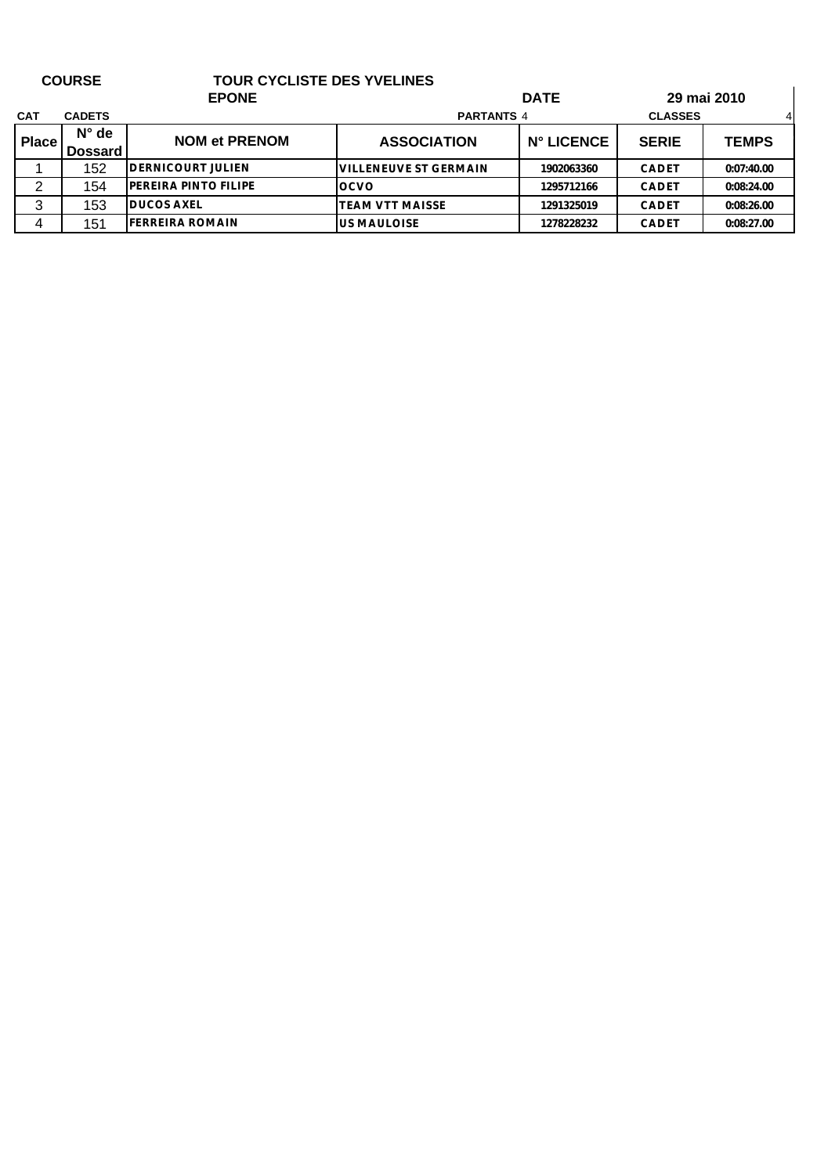| <b>COURSE</b> |                                  | <b>TOUR CYCLISTE DES YVELINES</b><br><b>EPONE</b> |                              | <b>DATE</b>       |              | 29 mai 2010  |
|---------------|----------------------------------|---------------------------------------------------|------------------------------|-------------------|--------------|--------------|
| <b>CAT</b>    | <b>CADETS</b>                    |                                                   |                              | <b>PARTANTS 4</b> |              | 41           |
| <b>Place</b>  | $N^{\circ}$ de<br><b>Dossard</b> | <b>NOM et PRENOM</b>                              | <b>ASSOCIATION</b>           | <b>N° LICENCE</b> | <b>SERIE</b> | <b>TEMPS</b> |
|               | 152                              | <b>DERNICOURT JULIEN</b>                          | <b>VILLENEUVE ST GERMAIN</b> | 1902063360        | CADET        | 0:07:40.00   |
| 2             | 154                              | PEREIRA PINTO FILIPE                              | <b>OCVO</b>                  | 1295712166        | CADET        | 0:08:24.00   |
| 3             | 153                              | <b>DUCOS AXEL</b>                                 | <b>TEAM VTT MAISSE</b>       | 1291325019        | CADET        | 0:08:26.00   |
| 4             | 151                              | FERREIRA ROMAIN                                   | <b>US MAULOISE</b>           | 1278228232        | CADET        | 0:08:27.00   |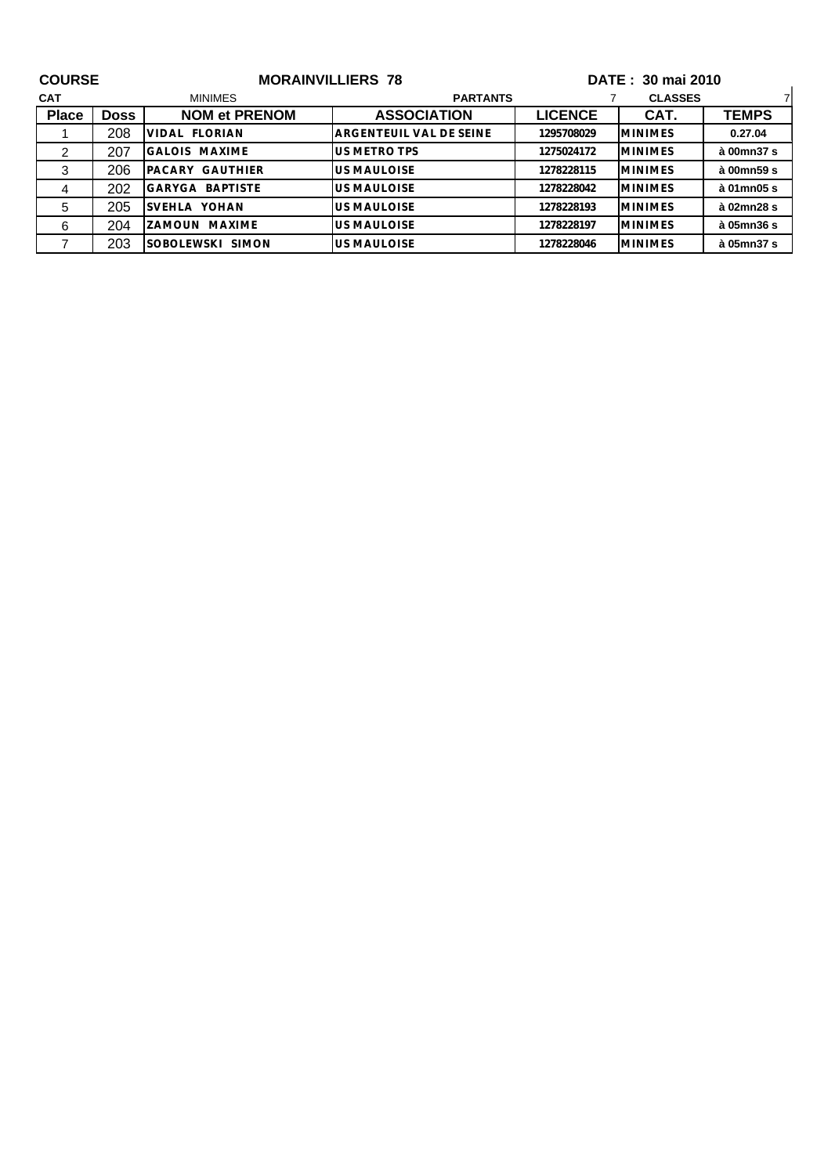| <b>COURSE</b> |             | <b>MORAINVILLIERS 78</b>   |                         | DATE: 30 mai 2010 |                |              |
|---------------|-------------|----------------------------|-------------------------|-------------------|----------------|--------------|
| <b>CAT</b>    |             | <b>MINIMES</b>             | <b>PARTANTS</b>         |                   | <b>CLASSES</b> | 71           |
| <b>Place</b>  | <b>Doss</b> | <b>NOM et PRENOM</b>       | <b>ASSOCIATION</b>      | <b>LICENCE</b>    | CAT.           | <b>TEMPS</b> |
|               | 208         | VIDAL FLORIAN              | ARGENTEUIL VAL DE SEINE | 1295708029        | <b>MINIMES</b> | 0.27.04      |
| 2             | 207         | <b>GALOIS MAXIME</b>       | US METRO TPS            | 1275024172        | <b>MINIMES</b> | à 00mn37 s   |
| 3             | 206         | PACARY GAUTHIER            | <b>US MAULOISE</b>      | 1278228115        | <b>MINIMES</b> | à 00mn59 s   |
| 4             | 202         | GARYGA<br><b>BAPTISTE</b>  | <b>US MAULOISE</b>      | 1278228042        | <b>MINIMES</b> | à 01mn05 s   |
| 5             | 205         | SVEHLA YOHAN               | US MAULOISE             | 1278228193        | <b>MINIMES</b> | à 02mn28 s   |
| 6             | 204         | ZAMOUN<br>MAXIME           | US MAULOISE             | 1278228197        | <b>MINIMES</b> | à 05mn36 s   |
|               | 203         | <b>SOBOLEWSKI</b><br>SIMON | US MAULOISE             | 1278228046        | <b>MINIMES</b> | à 05mn37 s   |